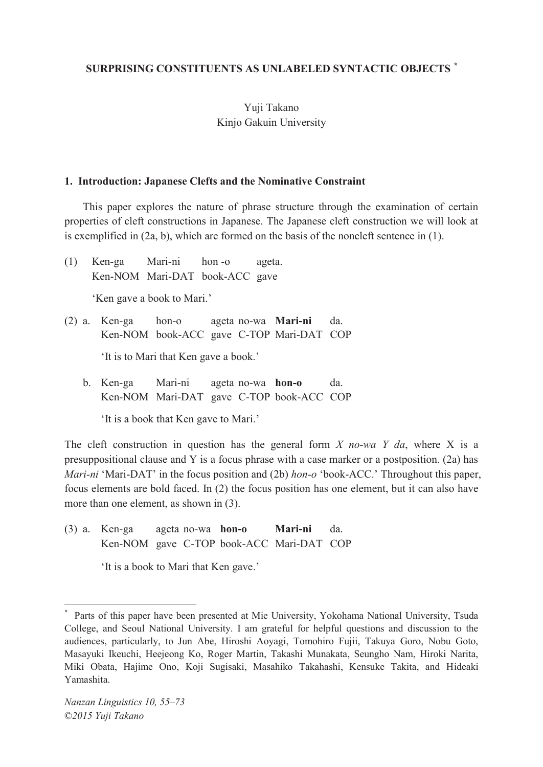## **SURPRISING CONSTITUENTS AS UNLABELED SYNTACTIC OBJECTS** *\**

# Yuji Takano Kinjo Gakuin University

#### **1. Introduction: Japanese Clefts and the Nominative Constraint**

 This paper explores the nature of phrase structure through the examination of certain properties of cleft constructions in Japanese. The Japanese cleft construction we will look at is exemplified in (2a, b), which are formed on the basis of the noncleft sentence in (1).

(1) Ken-ga Mari-ni hon -o ageta. Ken-NOM Mari-DAT book-ACC gave

'Ken gave a book to Mari.'

(2) a. Ken-ga hon-o ageta no-wa **Mari-ni** da. Ken-NOM book-ACC gave C-TOP Mari-DAT COP

'It is to Mari that Ken gave a book.'

 b. Ken-ga Mari-ni ageta no-wa **hon-o** da. Ken-NOM Mari-DAT gave C-TOP book-ACC COP

'It is a book that Ken gave to Mari.'

The cleft construction in question has the general form *X no-wa Y da*, where X is a presuppositional clause and Y is a focus phrase with a case marker or a postposition. (2a) has *Mari-ni* 'Mari-DAT' in the focus position and (2b) *hon-o* 'book-ACC.' Throughout this paper, focus elements are bold faced. In (2) the focus position has one element, but it can also have more than one element, as shown in (3).

(3) a. Ken-ga ageta no-wa **hon-o Mari-ni** da. Ken-NOM gave C-TOP book-ACC Mari-DAT COP

'It is a book to Mari that Ken gave.'

 $\overline{a}$ 

<sup>\*</sup> Parts of this paper have been presented at Mie University, Yokohama National University, Tsuda College, and Seoul National University. I am grateful for helpful questions and discussion to the audiences, particularly, to Jun Abe, Hiroshi Aoyagi, Tomohiro Fujii, Takuya Goro, Nobu Goto, Masayuki Ikeuchi, Heejeong Ko, Roger Martin, Takashi Munakata, Seungho Nam, Hiroki Narita, Miki Obata, Hajime Ono, Koji Sugisaki, Masahiko Takahashi, Kensuke Takita, and Hideaki Yamashita.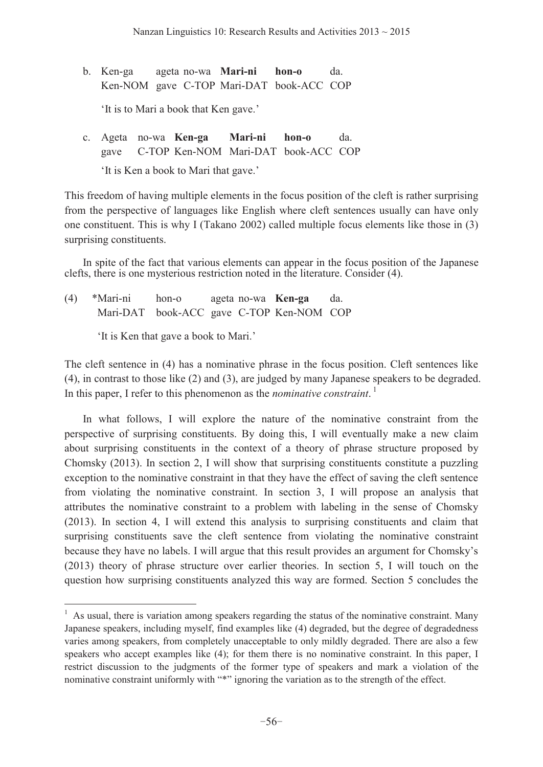- b. Ken-ga ageta no-wa **Mari-ni hon-o** da. Ken-NOM gave C-TOP Mari-DAT book-ACC COP 'It is to Mari a book that Ken gave.'
- c. Ageta no-wa **Ken-ga Mari-ni hon-o** da. gave C-TOP Ken-NOM Mari-DAT book-ACC COP 'It is Ken a book to Mari that gave.'

This freedom of having multiple elements in the focus position of the cleft is rather surprising from the perspective of languages like English where cleft sentences usually can have only one constituent. This is why I (Takano 2002) called multiple focus elements like those in (3) surprising constituents.

 In spite of the fact that various elements can appear in the focus position of the Japanese clefts, there is one mysterious restriction noted in the literature. Consider (4).

(4) \*Mari-ni hon-o ageta no-wa **Ken-ga** da. Mari-DAT book-ACC gave C-TOP Ken-NOM COP

'It is Ken that gave a book to Mari.'

 $\overline{a}$ 

The cleft sentence in (4) has a nominative phrase in the focus position. Cleft sentences like (4), in contrast to those like (2) and (3), are judged by many Japanese speakers to be degraded. In this paper, I refer to this phenomenon as the *nominative constraint*.<sup>1</sup>

 In what follows, I will explore the nature of the nominative constraint from the perspective of surprising constituents. By doing this, I will eventually make a new claim about surprising constituents in the context of a theory of phrase structure proposed by Chomsky (2013). In section 2, I will show that surprising constituents constitute a puzzling exception to the nominative constraint in that they have the effect of saving the cleft sentence from violating the nominative constraint. In section 3, I will propose an analysis that attributes the nominative constraint to a problem with labeling in the sense of Chomsky (2013). In section 4, I will extend this analysis to surprising constituents and claim that surprising constituents save the cleft sentence from violating the nominative constraint because they have no labels. I will argue that this result provides an argument for Chomsky's (2013) theory of phrase structure over earlier theories. In section 5, I will touch on the question how surprising constituents analyzed this way are formed. Section 5 concludes the

<sup>&</sup>lt;sup>1</sup> As usual, there is variation among speakers regarding the status of the nominative constraint. Many Japanese speakers, including myself, find examples like (4) degraded, but the degree of degradedness varies among speakers, from completely unacceptable to only mildly degraded. There are also a few speakers who accept examples like (4); for them there is no nominative constraint. In this paper, I restrict discussion to the judgments of the former type of speakers and mark a violation of the nominative constraint uniformly with "\*" ignoring the variation as to the strength of the effect.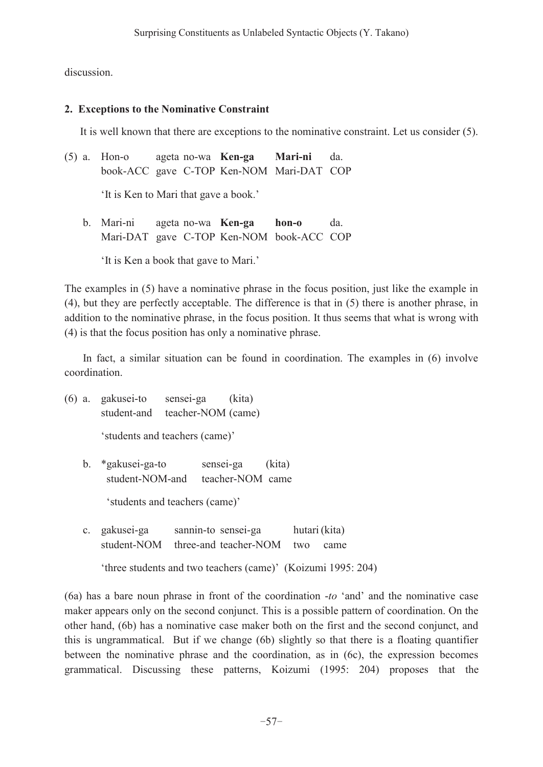discussion.

## **2. Exceptions to the Nominative Constraint**

It is well known that there are exceptions to the nominative constraint. Let us consider (5).

| (5) a. Hon-o ageta no-wa <b>Ken-ga Mari-ni</b> da. |  |  |  |                                          |  |
|----------------------------------------------------|--|--|--|------------------------------------------|--|
|                                                    |  |  |  | book-ACC gave C-TOP Ken-NOM Mari-DAT COP |  |
| 'It is Ken to Mari that gave a book.'              |  |  |  |                                          |  |

 b. Mari-ni ageta no-wa **Ken-ga hon-o** da. Mari-DAT gave C-TOP Ken-NOM book-ACC COP

It is Ken a book that gave to Mari.'

The examples in (5) have a nominative phrase in the focus position, just like the example in (4), but they are perfectly acceptable. The difference is that in (5) there is another phrase, in addition to the nominative phrase, in the focus position. It thus seems that what is wrong with (4) is that the focus position has only a nominative phrase.

 In fact, a similar situation can be found in coordination. The examples in (6) involve coordination.

(6) a. gakusei-to sensei-ga (kita) student-and teacher-NOM (came)

'students and teachers (came)'

 b. \*gakusei-ga-to sensei-ga (kita) student-NOM-and teacher-NOM came

'students and teachers (came)'

 c. gakusei-ga sannin-to sensei-ga hutari (kita) student-NOM three-and teacher-NOM two came

'three students and two teachers (came)' (Koizumi 1995: 204)

(6a) has a bare noun phrase in front of the coordination  $-to$  'and' and the nominative case maker appears only on the second conjunct. This is a possible pattern of coordination. On the other hand, (6b) has a nominative case maker both on the first and the second conjunct, and this is ungrammatical. But if we change (6b) slightly so that there is a floating quantifier between the nominative phrase and the coordination, as in (6c), the expression becomes grammatical. Discussing these patterns, Koizumi (1995: 204) proposes that the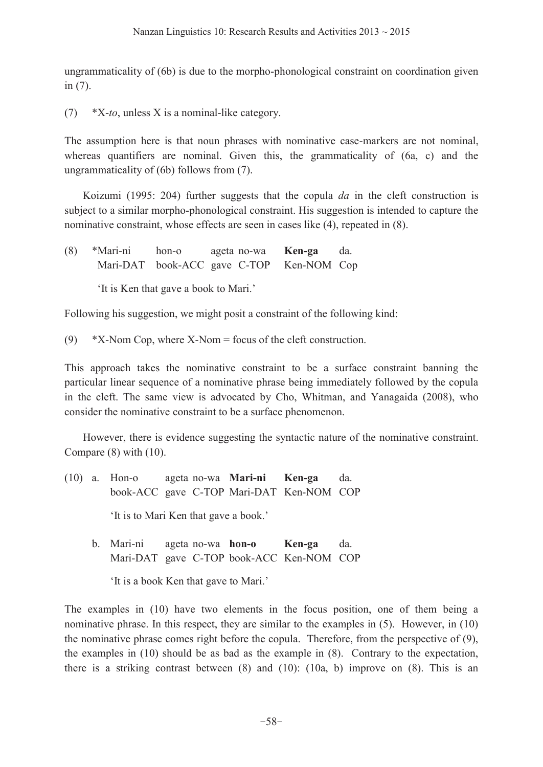ungrammaticality of (6b) is due to the morpho-phonological constraint on coordination given in (7).

(7) \*X-*to*, unless X is a nominal-like category.

The assumption here is that noun phrases with nominative case-markers are not nominal, whereas quantifiers are nominal. Given this, the grammaticality of (6a, c) and the ungrammaticality of (6b) follows from (7).

 Koizumi (1995: 204) further suggests that the copula *da* in the cleft construction is subject to a similar morpho-phonological constraint. His suggestion is intended to capture the nominative constraint, whose effects are seen in cases like (4), repeated in (8).

(8) \*Mari-ni hon-o ageta no-wa **Ken-ga** da. Mari-DAT book-ACC gave C-TOP Ken-NOM Cop

'It is Ken that gave a book to Mari.'

Following his suggestion, we might posit a constraint of the following kind:

(9) \*X-Nom Cop, where X-Nom = focus of the cleft construction.

This approach takes the nominative constraint to be a surface constraint banning the particular linear sequence of a nominative phrase being immediately followed by the copula in the cleft. The same view is advocated by Cho, Whitman, and Yanagaida (2008), who consider the nominative constraint to be a surface phenomenon.

 However, there is evidence suggesting the syntactic nature of the nominative constraint. Compare (8) with (10).

- (10) a. Hon-o ageta no-wa **Mari-ni Ken-ga** da. book-ACC gave C-TOP Mari-DAT Ken-NOM COP 'It is to Mari Ken that gave a book.'
	- b. Mari-ni ageta no-wa **hon-o Ken-ga** da. Mari-DAT gave C-TOP book-ACC Ken-NOM COP

'It is a book Ken that gave to Mari.'

The examples in (10) have two elements in the focus position, one of them being a nominative phrase. In this respect, they are similar to the examples in (5). However, in (10) the nominative phrase comes right before the copula. Therefore, from the perspective of (9), the examples in (10) should be as bad as the example in (8). Contrary to the expectation, there is a striking contrast between  $(8)$  and  $(10)$ :  $(10a, b)$  improve on  $(8)$ . This is an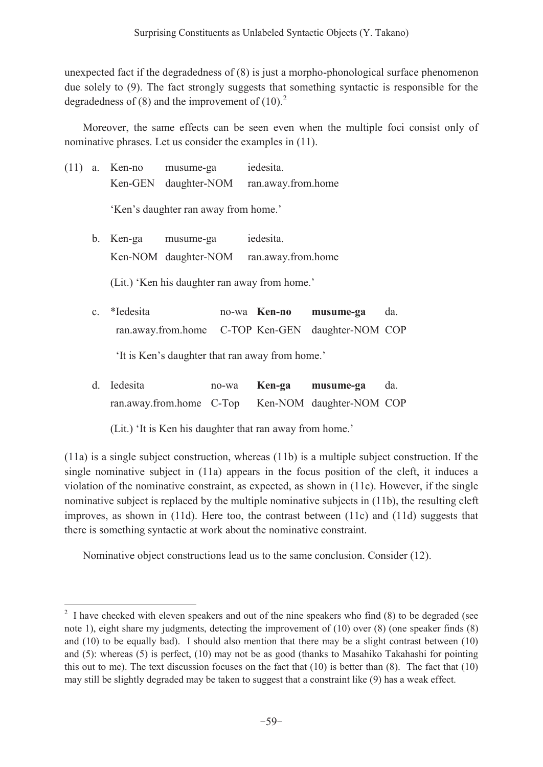unexpected fact if the degradedness of (8) is just a morpho-phonological surface phenomenon due solely to (9). The fact strongly suggests that something syntactic is responsible for the degradedness of (8) and the improvement of  $(10)^2$ .

 Moreover, the same effects can be seen even when the multiple foci consist only of nominative phrases. Let us consider the examples in (11).

| (11) |                | a. Ken-no                                     | musume-ga            | iedesita.          |           |     |  |
|------|----------------|-----------------------------------------------|----------------------|--------------------|-----------|-----|--|
|      |                | Ken-GEN                                       | daughter-NOM         | ran.away.from.home |           |     |  |
|      |                | 'Ken's daughter ran away from home.'          |                      |                    |           |     |  |
|      | b.             | Ken-ga                                        | musume-ga            | iedesita.          |           |     |  |
|      |                |                                               | Ken-NOM daughter-NOM | ran.away.from.home |           |     |  |
|      |                | (Lit.) 'Ken his daughter ran away from home.' |                      |                    |           |     |  |
|      | $\mathbf{c}$ . | *Iedesita                                     |                      | no-wa Ken-no       | musume-ga | da. |  |

 ran.away.from.home C-TOP Ken-GEN daughter-NOM COP 'It is Ken's daughter that ran away from home.'

| d. Iedesita                                       | no-wa | Ken-ga | musume-ga | da. |
|---------------------------------------------------|-------|--------|-----------|-----|
| ran.away.from.home C-Top Ken-NOM daughter-NOM COP |       |        |           |     |

(Lit.) 'It is Ken his daughter that ran away from home.'

(11a) is a single subject construction, whereas (11b) is a multiple subject construction. If the single nominative subject in (11a) appears in the focus position of the cleft, it induces a violation of the nominative constraint, as expected, as shown in (11c). However, if the single nominative subject is replaced by the multiple nominative subjects in (11b), the resulting cleft improves, as shown in (11d). Here too, the contrast between (11c) and (11d) suggests that there is something syntactic at work about the nominative constraint.

Nominative object constructions lead us to the same conclusion. Consider (12).

 $\overline{a}$ 

<sup>&</sup>lt;sup>2</sup> I have checked with eleven speakers and out of the nine speakers who find  $(8)$  to be degraded (see note 1), eight share my judgments, detecting the improvement of (10) over (8) (one speaker finds (8) and (10) to be equally bad). I should also mention that there may be a slight contrast between (10) and (5): whereas (5) is perfect, (10) may not be as good (thanks to Masahiko Takahashi for pointing this out to me). The text discussion focuses on the fact that (10) is better than (8). The fact that (10) may still be slightly degraded may be taken to suggest that a constraint like (9) has a weak effect.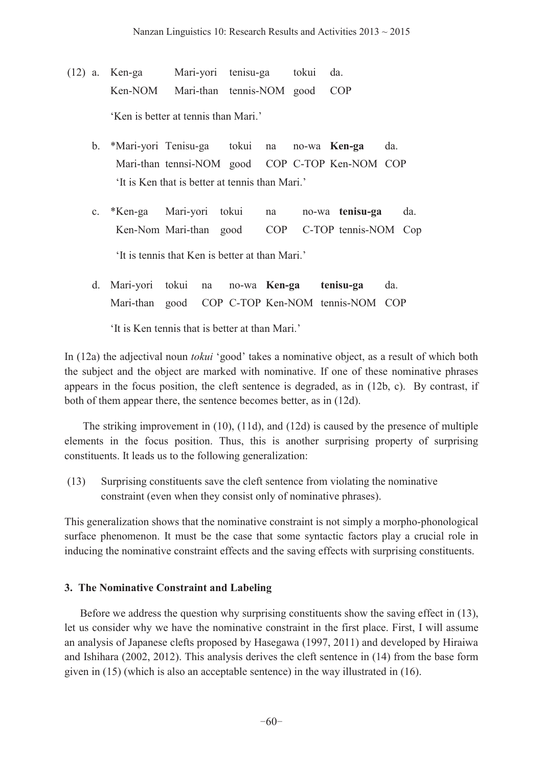- (12) a. Ken-ga Mari-yori tenisu-ga tokui da. Ken-NOM Mari-than tennis-NOM good COP 'Ken is better at tennis than Mari.'
	- b. \*Mari-yori Tenisu-ga tokui na no-wa **Ken-ga** da. Mari-than tennsi-NOM good COP C-TOP Ken-NOM COP It is Ken that is better at tennis than Mari.'
	- c. \*Ken-ga Mari-yori tokui na no-wa **tenisu-ga** da. Ken-Nom Mari-than good COP C-TOP tennis-NOM Cop It is tennis that Ken is better at than Mari.'
	- d. Mari-yori tokui na no-wa **Ken-ga tenisu-ga** da. Mari-than good COP C-TOP Ken-NOM tennis-NOM COP

'It is Ken tennis that is better at than Mari.'

In (12a) the adjectival noun *tokui* 'good' takes a nominative object, as a result of which both the subject and the object are marked with nominative. If one of these nominative phrases appears in the focus position, the cleft sentence is degraded, as in (12b, c). By contrast, if both of them appear there, the sentence becomes better, as in (12d).

 The striking improvement in (10), (11d), and (12d) is caused by the presence of multiple elements in the focus position. Thus, this is another surprising property of surprising constituents. It leads us to the following generalization:

 (13) Surprising constituents save the cleft sentence from violating the nominative constraint (even when they consist only of nominative phrases).

This generalization shows that the nominative constraint is not simply a morpho-phonological surface phenomenon. It must be the case that some syntactic factors play a crucial role in inducing the nominative constraint effects and the saving effects with surprising constituents.

## **3. The Nominative Constraint and Labeling**

 Before we address the question why surprising constituents show the saving effect in (13), let us consider why we have the nominative constraint in the first place. First, I will assume an analysis of Japanese clefts proposed by Hasegawa (1997, 2011) and developed by Hiraiwa and Ishihara (2002, 2012). This analysis derives the cleft sentence in (14) from the base form given in (15) (which is also an acceptable sentence) in the way illustrated in (16).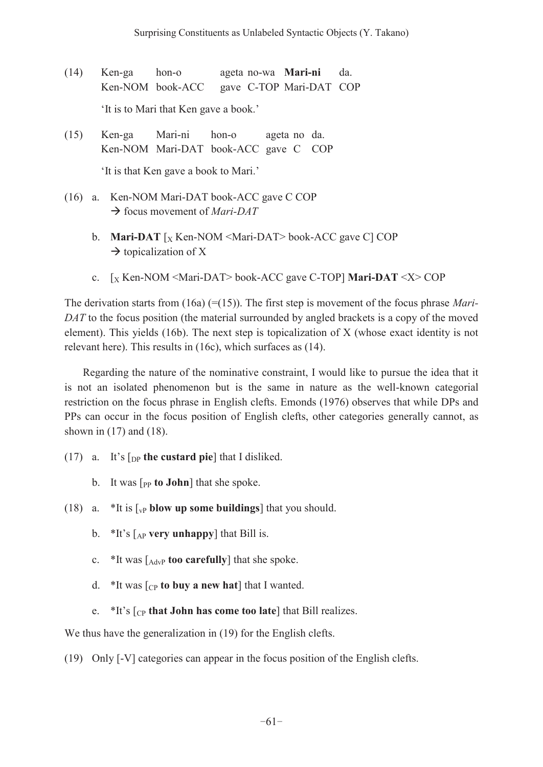- (14) Ken-ga hon-o ageta no-wa **Mari-ni** da. Ken-NOM book-ACC gave C-TOP Mari-DAT COP 'It is to Mari that Ken gave a book.'
- (15) Ken-ga Mari-ni hon-o ageta no da. Ken-NOM Mari-DAT book-ACC gave C COP

'It is that Ken gave a book to Mari.'

- (16) a. Ken-NOM Mari-DAT book-ACC gave C COP → focus movement of *Mari-DAT* 
	- b. **Mari-DAT**  $\lceil_{X}$  Ken-NOM <Mari-DAT> book-ACC gave C] COP  $\rightarrow$  topicalization of X
	- c. [X Ken-NOM <Mari-DAT> book-ACC gave C-TOP] **Mari-DAT** <X> COP

The derivation starts from (16a) (=(15)). The first step is movement of the focus phrase *Mari-DAT* to the focus position (the material surrounded by angled brackets is a copy of the moved element). This yields (16b). The next step is topicalization of X (whose exact identity is not relevant here). This results in (16c), which surfaces as (14).

 Regarding the nature of the nominative constraint, I would like to pursue the idea that it is not an isolated phenomenon but is the same in nature as the well-known categorial restriction on the focus phrase in English clefts. Emonds (1976) observes that while DPs and PPs can occur in the focus position of English clefts, other categories generally cannot, as shown in (17) and (18).

- (17) a. It's  $\lceil_{DP}$  **the custard pie** that I disliked.
	- b. It was  $\lceil_{PP}$  **to John**] that she spoke.
- (18) a.  $*$ It is [<sub>vP</sub> **blow up some buildings**] that you should.
	- b.  $*$ It's  $\lceil_{AP}$  **very unhappy** that Bill is.
	- c. \*It was [AdvP **too carefully**] that she spoke.
	- d.  $*$ It was  $\lceil_{CP}$  **to buy a new hat** ] that I wanted.
	- e.  $*$ It's  $\lceil_{CP}$  that John has come too late<sup> $\lceil$ </sup> that Bill realizes.

We thus have the generalization in (19) for the English clefts.

(19) Only [-V] categories can appear in the focus position of the English clefts.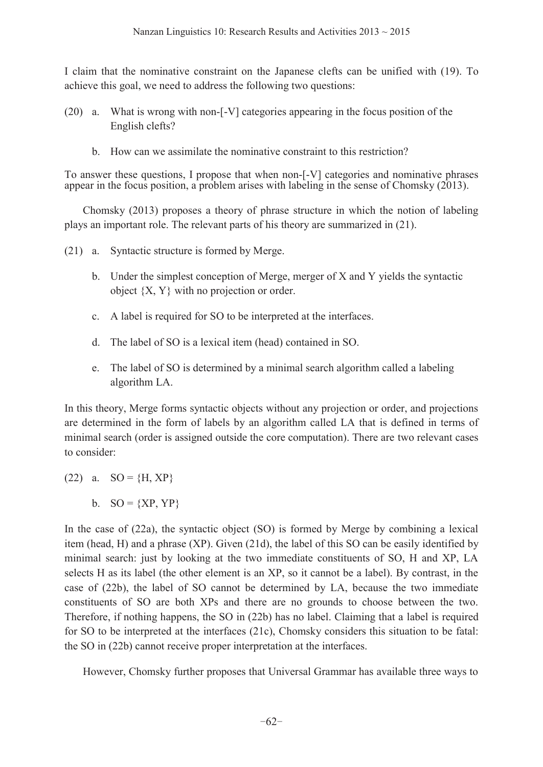I claim that the nominative constraint on the Japanese clefts can be unified with (19). To achieve this goal, we need to address the following two questions:

- (20) a. What is wrong with non-[-V] categories appearing in the focus position of the English clefts?
	- b. How can we assimilate the nominative constraint to this restriction?

To answer these questions, I propose that when non-[-V] categories and nominative phrases appear in the focus position, a problem arises with labeling in the sense of Chomsky (2013).

 Chomsky (2013) proposes a theory of phrase structure in which the notion of labeling plays an important role. The relevant parts of his theory are summarized in (21).

(21) a. Syntactic structure is formed by Merge.

- b. Under the simplest conception of Merge, merger of X and Y yields the syntactic object  $\{X, Y\}$  with no projection or order.
- c. A label is required for SO to be interpreted at the interfaces.
- d. The label of SO is a lexical item (head) contained in SO.
- e. The label of SO is determined by a minimal search algorithm called a labeling algorithm LA.

In this theory, Merge forms syntactic objects without any projection or order, and projections are determined in the form of labels by an algorithm called LA that is defined in terms of minimal search (order is assigned outside the core computation). There are two relevant cases to consider:

- (22) a.  $SO = \{H, XP\}$ 
	- b.  $SO = \{XP,YP\}$

In the case of (22a), the syntactic object (SO) is formed by Merge by combining a lexical item (head, H) and a phrase (XP). Given (21d), the label of this SO can be easily identified by minimal search: just by looking at the two immediate constituents of SO, H and XP, LA selects H as its label (the other element is an XP, so it cannot be a label). By contrast, in the case of (22b), the label of SO cannot be determined by LA, because the two immediate constituents of SO are both XPs and there are no grounds to choose between the two. Therefore, if nothing happens, the SO in (22b) has no label. Claiming that a label is required for SO to be interpreted at the interfaces (21c), Chomsky considers this situation to be fatal: the SO in (22b) cannot receive proper interpretation at the interfaces.

However, Chomsky further proposes that Universal Grammar has available three ways to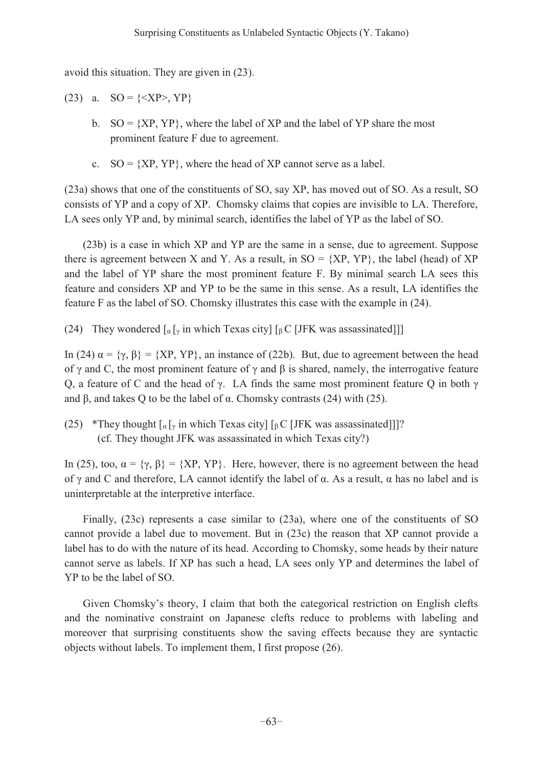avoid this situation. They are given in (23).

(23) a.  $SO = \{ \langle XP \rangle, YP \}$ 

- b.  $SO = \{XP,YP\}$ , where the label of XP and the label of YP share the most prominent feature F due to agreement.
- c.  $SO = \{XP,YP\}$ , where the head of XP cannot serve as a label.

(23a) shows that one of the constituents of SO, say XP, has moved out of SO. As a result, SO consists of YP and a copy of XP. Chomsky claims that copies are invisible to LA. Therefore, LA sees only YP and, by minimal search, identifies the label of YP as the label of SO.

(23b) is a case in which XP and YP are the same in a sense, due to agreement. Suppose there is agreement between X and Y. As a result, in  $SO = \{XP,YP\}$ , the label (head) of XP and the label of YP share the most prominent feature F. By minimal search LA sees this feature and considers XP and YP to be the same in this sense. As a result, LA identifies the feature F as the label of SO. Chomsky illustrates this case with the example in (24).

(24) They wondered  $\lceil \frac{q}{x} \rceil$  in which Texas city]  $\lceil \frac{q}{b} \right]$  [JFK was assassinated]]

In (24)  $\alpha = {\gamma, \beta} = {XP, YP}$ , an instance of (22b). But, due to agreement between the head of  $\gamma$  and C, the most prominent feature of  $\gamma$  and  $\beta$  is shared, namely, the interrogative feature Q, a feature of C and the head of  $\gamma$ . LA finds the same most prominent feature Q in both  $\gamma$ and  $\beta$ , and takes Q to be the label of  $\alpha$ . Chomsky contrasts (24) with (25).

(25) \*They thought  $\lbrack \alpha \lbrack \gamma \rbrack$  in which Texas city]  $\lbrack \beta \text{C}$  [JFK was assassinated]]]? (cf. They thought JFK was assassinated in which Texas city?)

In (25), too,  $\alpha = \{\gamma, \beta\} = \{XP, YP\}$ . Here, however, there is no agreement between the head of  $\gamma$  and C and therefore, LA cannot identify the label of  $\alpha$ . As a result,  $\alpha$  has no label and is uninterpretable at the interpretive interface.

 Finally, (23c) represents a case similar to (23a), where one of the constituents of SO cannot provide a label due to movement. But in (23c) the reason that XP cannot provide a label has to do with the nature of its head. According to Chomsky, some heads by their nature cannot serve as labels. If XP has such a head, LA sees only YP and determines the label of YP to be the label of SO.

Given Chomsky's theory, I claim that both the categorical restriction on English clefts and the nominative constraint on Japanese clefts reduce to problems with labeling and moreover that surprising constituents show the saving effects because they are syntactic objects without labels. To implement them, I first propose (26).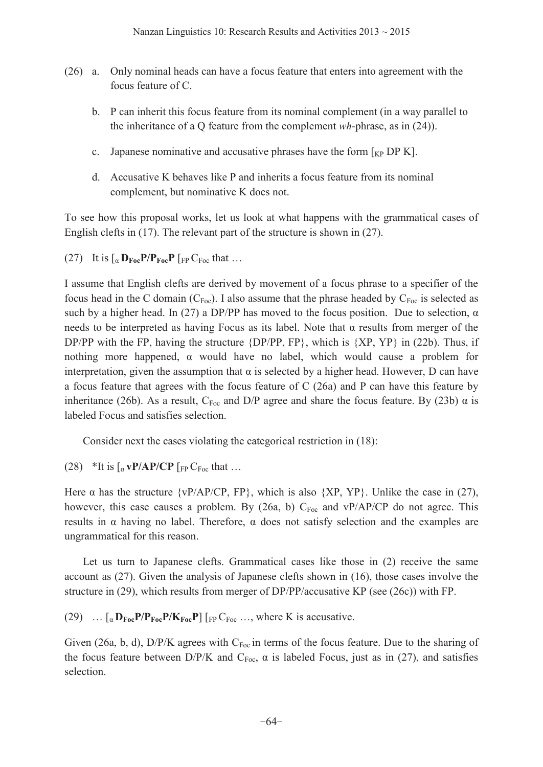- (26) a. Only nominal heads can have a focus feature that enters into agreement with the focus feature of C.
	- b. P can inherit this focus feature from its nominal complement (in a way parallel to the inheritance of a Q feature from the complement *wh*-phrase, as in (24)).
	- c. Japanese nominative and accusative phrases have the form  $\lceil_{KP} DF K \rceil$ .
	- d. Accusative K behaves like P and inherits a focus feature from its nominal complement, but nominative K does not.

To see how this proposal works, let us look at what happens with the grammatical cases of English clefts in (17). The relevant part of the structure is shown in (27).

(27) It is  $\int_{\alpha}$  **D**<sub>Foc</sub>**P**/P<sub>Foc</sub>**P**  $\int_{\text{FP}} C_{\text{Foc}}$  that ...

I assume that English clefts are derived by movement of a focus phrase to a specifier of the focus head in the C domain ( $C_{Foc}$ ). I also assume that the phrase headed by  $C_{Foc}$  is selected as such by a higher head. In (27) a DP/PP has moved to the focus position. Due to selection,  $\alpha$ needs to be interpreted as having Focus as its label. Note that  $\alpha$  results from merger of the DP/PP with the FP, having the structure  ${DPP/PP, FP}$ , which is  ${XP,YP}$  in (22b). Thus, if nothing more happened,  $\alpha$  would have no label, which would cause a problem for interpretation, given the assumption that  $\alpha$  is selected by a higher head. However, D can have a focus feature that agrees with the focus feature of C (26a) and P can have this feature by inheritance (26b). As a result,  $C_{\text{Foc}}$  and D/P agree and share the focus feature. By (23b)  $\alpha$  is labeled Focus and satisfies selection.

Consider next the cases violating the categorical restriction in (18):

(28) \*It is  $\int_{\alpha} \mathbf{v} \mathbf{P} / \mathbf{A} \mathbf{P} / \mathbf{C} \mathbf{P}$  [Fe C<sub>Foc</sub> that ...

Here  $\alpha$  has the structure {vP/AP/CP, FP}, which is also {XP, YP}. Unlike the case in (27), however, this case causes a problem. By (26a, b)  $C_{\text{Foc}}$  and vP/AP/CP do not agree. This results in  $\alpha$  having no label. Therefore,  $\alpha$  does not satisfy selection and the examples are ungrammatical for this reason.

 Let us turn to Japanese clefts. Grammatical cases like those in (2) receive the same account as (27). Given the analysis of Japanese clefts shown in (16), those cases involve the structure in (29), which results from merger of DP/PP/accusative KP (see (26c)) with FP.

(29)  $\ldots$  [a  $D_{\text{Foc}}P/P_{\text{Foc}}P/K_{\text{Foc}}P$ ] [FP C<sub>Foc</sub> ..., where K is accusative.

Given (26a, b, d),  $D/P/K$  agrees with  $C_{Foc}$  in terms of the focus feature. Due to the sharing of the focus feature between  $D/P/K$  and  $C_{Foc}$ ,  $\alpha$  is labeled Focus, just as in (27), and satisfies selection.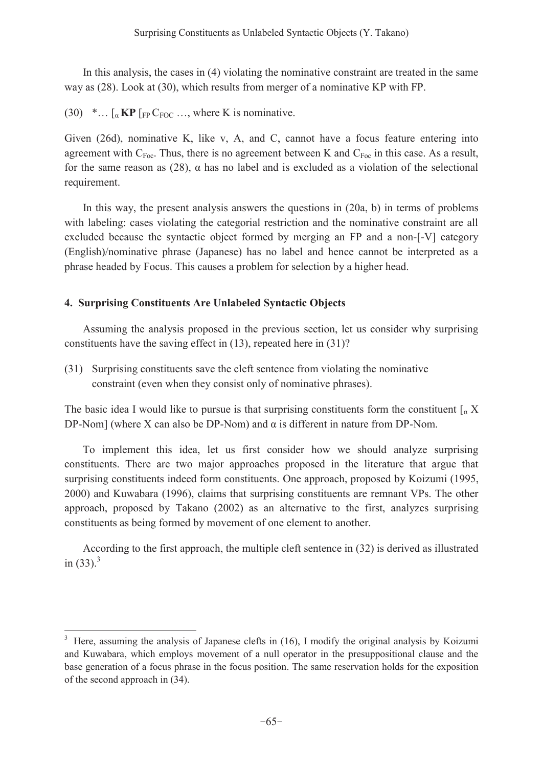In this analysis, the cases in (4) violating the nominative constraint are treated in the same way as (28). Look at (30), which results from merger of a nominative KP with FP.

(30)  $\cdot \dots \cdot$  [a **KP** [FP CFOC  $\dots$ , where K is nominative.

Given (26d), nominative K, like v, A, and C, cannot have a focus feature entering into agreement with  $C_{Foc}$ . Thus, there is no agreement between K and  $C_{Foc}$  in this case. As a result, for the same reason as (28),  $\alpha$  has no label and is excluded as a violation of the selectional requirement.

 In this way, the present analysis answers the questions in (20a, b) in terms of problems with labeling: cases violating the categorial restriction and the nominative constraint are all excluded because the syntactic object formed by merging an FP and a non-[-V] category (English)/nominative phrase (Japanese) has no label and hence cannot be interpreted as a phrase headed by Focus. This causes a problem for selection by a higher head.

#### **4. Surprising Constituents Are Unlabeled Syntactic Objects**

 $\overline{a}$ 

 Assuming the analysis proposed in the previous section, let us consider why surprising constituents have the saving effect in (13), repeated here in (31)?

(31) Surprising constituents save the cleft sentence from violating the nominative constraint (even when they consist only of nominative phrases).

The basic idea I would like to pursue is that surprising constituents form the constituent  $\int_{\alpha} X$ DP-Nom] (where X can also be DP-Nom) and  $\alpha$  is different in nature from DP-Nom.

 To implement this idea, let us first consider how we should analyze surprising constituents. There are two major approaches proposed in the literature that argue that surprising constituents indeed form constituents. One approach, proposed by Koizumi (1995, 2000) and Kuwabara (1996), claims that surprising constituents are remnant VPs. The other approach, proposed by Takano (2002) as an alternative to the first, analyzes surprising constituents as being formed by movement of one element to another.

According to the first approach, the multiple cleft sentence in (32) is derived as illustrated in  $(33)$ .<sup>3</sup>

 $3$  Here, assuming the analysis of Japanese clefts in (16), I modify the original analysis by Koizumi and Kuwabara, which employs movement of a null operator in the presuppositional clause and the base generation of a focus phrase in the focus position. The same reservation holds for the exposition of the second approach in (34).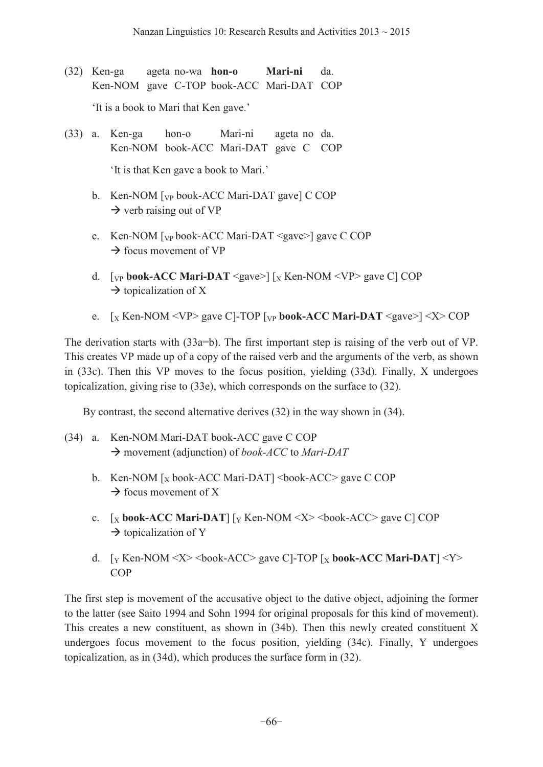(32) Ken-ga ageta no-wa **hon-o Mari-ni** da. Ken-NOM gave C-TOP book-ACC Mari-DAT COP

'It is a book to Mari that Ken gave.'

- (33) a. Ken-ga hon-o Mari-ni ageta no da. Ken-NOM book-ACC Mari-DAT gave C COP 'It is that Ken gave a book to Mari.'
	- b. Ken-NOM  $\lceil v \rceil$  book-ACC Mari-DAT gave  $\lceil$  C COP  $\rightarrow$  verb raising out of VP
	- c. Ken-NOM  $[\text{VP}$  book-ACC Mari-DAT <gave>] gave C COP  $\rightarrow$  focus movement of VP
	- d. [ $VP$  **book-ACC Mari-DAT** <gave>]  $\left[\chi$  Ken-NOM <VP> gave C] COP  $\rightarrow$  topicalization of X
	- e.  $\left[\chi \text{ Ken-NOM} \leq VP \right]$  gave C]-TOP  $\left[\chi \text{book-ACC } \text{Mari-DATA} \leq gave \right] \leq X$  COP

The derivation starts with (33a=b). The first important step is raising of the verb out of VP. This creates VP made up of a copy of the raised verb and the arguments of the verb, as shown in (33c). Then this VP moves to the focus position, yielding (33d). Finally, X undergoes topicalization, giving rise to (33e), which corresponds on the surface to (32).

By contrast, the second alternative derives (32) in the way shown in (34).

- (34) a. Ken-NOM Mari-DAT book-ACC gave C COP → movement (adjunction) of *book-ACC* to *Mari-DAT* 
	- b. Ken-NOM  $[x$  book-ACC Mari-DAT] <br/>book-ACC> gave C COP  $\rightarrow$  focus movement of X
	- c.  $\left[\chi\text{book-ACC Mari-DAT}\right]\left[\gamma\text{Ken-NOM} \ll \chi\right] > \text{book-ACC}$  gave C COP  $\rightarrow$  topicalization of Y
	- d. [Y Ken-NOM <X> <book-ACC> gave C]-TOP [X **book-ACC Mari-DAT**] <Y> COP

The first step is movement of the accusative object to the dative object, adjoining the former to the latter (see Saito 1994 and Sohn 1994 for original proposals for this kind of movement). This creates a new constituent, as shown in (34b). Then this newly created constituent X undergoes focus movement to the focus position, yielding (34c). Finally, Y undergoes topicalization, as in (34d), which produces the surface form in (32).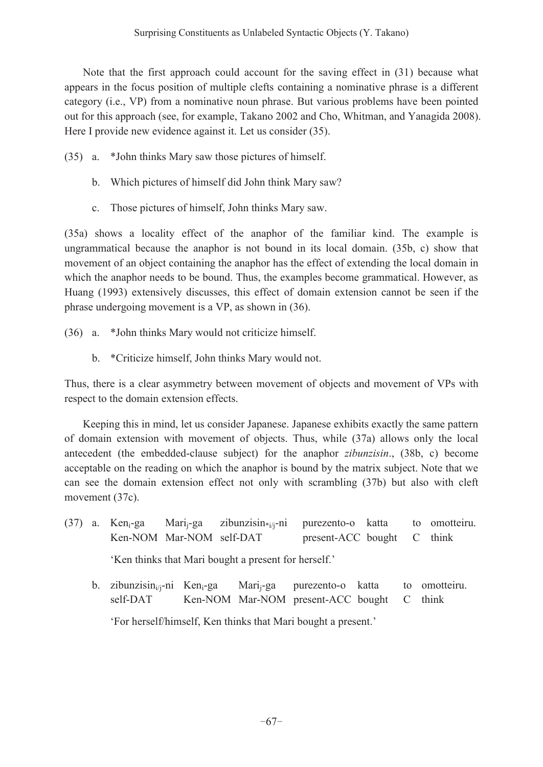Note that the first approach could account for the saving effect in (31) because what appears in the focus position of multiple clefts containing a nominative phrase is a different category (i.e., VP) from a nominative noun phrase. But various problems have been pointed out for this approach (see, for example, Takano 2002 and Cho, Whitman, and Yanagida 2008). Here I provide new evidence against it. Let us consider (35).

- (35) a. \*John thinks Mary saw those pictures of himself.
	- b. Which pictures of himself did John think Mary saw?
	- c. Those pictures of himself, John thinks Mary saw.

(35a) shows a locality effect of the anaphor of the familiar kind. The example is ungrammatical because the anaphor is not bound in its local domain. (35b, c) show that movement of an object containing the anaphor has the effect of extending the local domain in which the anaphor needs to be bound. Thus, the examples become grammatical. However, as Huang (1993) extensively discusses, this effect of domain extension cannot be seen if the phrase undergoing movement is a VP, as shown in (36).

- (36) a. \*John thinks Mary would not criticize himself.
	- b. \*Criticize himself, John thinks Mary would not.

Thus, there is a clear asymmetry between movement of objects and movement of VPs with respect to the domain extension effects.

 Keeping this in mind, let us consider Japanese. Japanese exhibits exactly the same pattern of domain extension with movement of objects. Thus, while (37a) allows only the local antecedent (the embedded-clause subject) for the anaphor *zibunzisin*., (38b, c) become acceptable on the reading on which the anaphor is bound by the matrix subject. Note that we can see the domain extension effect not only with scrambling (37b) but also with cleft movement (37c).

(37) a. Ken<sub>i</sub>-ga Mari<sub>i</sub>-ga zibunzisin<sub>\*i/j</sub>-ni purezento-o katta to omotteiru. Ken-NOM Mar-NOM self-DAT present-ACC bought C think

'Ken thinks that Mari bought a present for herself.'

b. zibunzisin<sub>i/j-</sub>ni Ken<sub>i-</sub>ga Mari<sub>j-</sub>ga purezento-o katta to omotteiru. self-DAT Ken-NOM Mar-NOM present-ACC bought C think 'For herself/himself, Ken thinks that Mari bought a present.'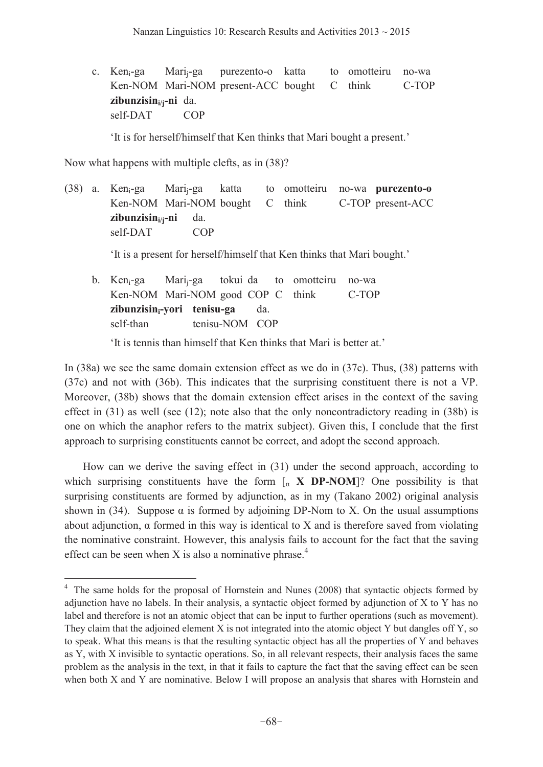c. Ken<sub>i</sub>-ga Mari<sub>i</sub>-ga purezento-o katta to omotteiru no-wa Ken-NOM Mari-NOM present-ACC bought C think C-TOP **zibunzisini/j-ni** da. self-DAT COP

'It is for herself/himself that Ken thinks that Mari bought a present.'

Now what happens with multiple clefts, as in (38)?

 $\overline{a}$ 

(38) a. Keni-ga Marij-ga katta to omotteiru no-wa **purezento-o**  Ken-NOM Mari-NOM bought C think C-TOP present-ACC **zibunzisini/j-ni** da. self-DAT COP

'It is a present for herself/himself that Ken thinks that Mari bought.'

 b. Keni-ga Marij-ga tokui da to omotteiru no-wa Ken-NOM Mari-NOM good COP C think C-TOP **zibunzisin**<sub>i</sub>-yori **tenisu-ga** da. self-than tenisu-NOM COP

It is tennis than himself that Ken thinks that Mari is better at.'

In (38a) we see the same domain extension effect as we do in (37c). Thus, (38) patterns with (37c) and not with (36b). This indicates that the surprising constituent there is not a VP. Moreover, (38b) shows that the domain extension effect arises in the context of the saving effect in  $(31)$  as well (see  $(12)$ ; note also that the only noncontradictory reading in  $(38b)$  is one on which the anaphor refers to the matrix subject). Given this, I conclude that the first approach to surprising constituents cannot be correct, and adopt the second approach.

 How can we derive the saving effect in (31) under the second approach, according to which surprising constituents have the form  $\int_{\alpha}$  **X** DP-NOM<sup>[2]</sup>? One possibility is that surprising constituents are formed by adjunction, as in my (Takano 2002) original analysis shown in (34). Suppose  $\alpha$  is formed by adjoining DP-Nom to X. On the usual assumptions about adjunction,  $\alpha$  formed in this way is identical to X and is therefore saved from violating the nominative constraint. However, this analysis fails to account for the fact that the saving effect can be seen when X is also a nominative phrase.<sup>4</sup>

<sup>&</sup>lt;sup>4</sup> The same holds for the proposal of Hornstein and Nunes (2008) that syntactic objects formed by adjunction have no labels. In their analysis, a syntactic object formed by adjunction of X to Y has no label and therefore is not an atomic object that can be input to further operations (such as movement). They claim that the adjoined element X is not integrated into the atomic object Y but dangles off Y, so to speak. What this means is that the resulting syntactic object has all the properties of Y and behaves as Y, with X invisible to syntactic operations. So, in all relevant respects, their analysis faces the same problem as the analysis in the text, in that it fails to capture the fact that the saving effect can be seen when both X and Y are nominative. Below I will propose an analysis that shares with Hornstein and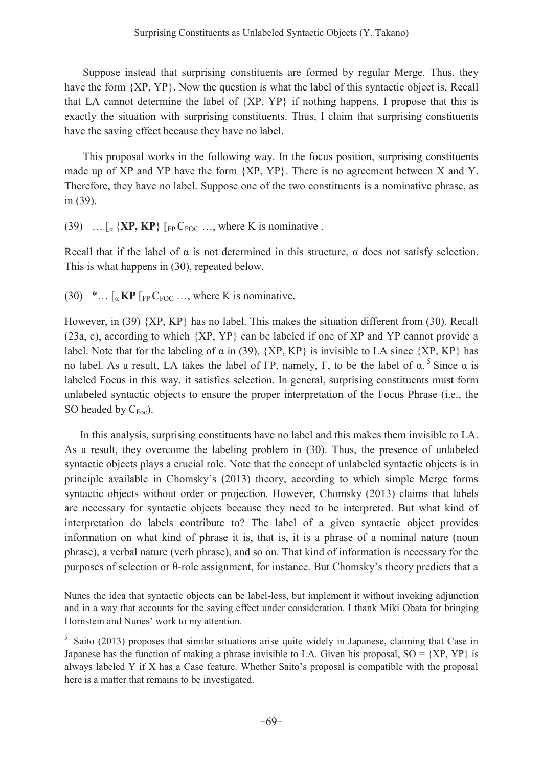Suppose instead that surprising constituents are formed by regular Merge. Thus, they have the form  ${XP, YP}$ . Now the question is what the label of this syntactic object is. Recall that LA cannot determine the label of {XP, YP} if nothing happens. I propose that this is exactly the situation with surprising constituents. Thus, I claim that surprising constituents have the saving effect because they have no label.

 This proposal works in the following way. In the focus position, surprising constituents made up of XP and YP have the form  ${XP, YP}$ . There is no agreement between X and Y. Therefore, they have no label. Suppose one of the two constituents is a nominative phrase, as in (39).

(39)  $\ldots$   $\lceil_{\alpha} {\{XP, KP\}} \rceil$   $\lceil_{FP} C_{FOC} \ldots$ , where K is nominative .

Recall that if the label of  $\alpha$  is not determined in this structure,  $\alpha$  does not satisfy selection. This is what happens in (30), repeated below.

 $(30)$  \*...  $\lceil_{\alpha}$  KP  $\lceil_{FP} C_{FOC} \ldots \rceil$  where K is nominative.

 $\overline{a}$ 

However, in (39) {XP, KP} has no label. This makes the situation different from (30). Recall (23a, c), according to which {XP, YP} can be labeled if one of XP and YP cannot provide a label. Note that for the labeling of  $\alpha$  in (39), {XP, KP} is invisible to LA since {XP, KP} has no label. As a result, LA takes the label of FP, namely, F, to be the label of  $\alpha$ .<sup>5</sup> Since  $\alpha$  is labeled Focus in this way, it satisfies selection. In general, surprising constituents must form unlabeled syntactic objects to ensure the proper interpretation of the Focus Phrase (i.e., the SO headed by  $C_{\text{Foc}}$ ).

 In this analysis, surprising constituents have no label and this makes them invisible to LA. As a result, they overcome the labeling problem in (30). Thus, the presence of unlabeled syntactic objects plays a crucial role. Note that the concept of unlabeled syntactic objects is in principle available in Chomsky's (2013) theory, according to which simple Merge forms syntactic objects without order or projection. However, Chomsky (2013) claims that labels are necessary for syntactic objects because they need to be interpreted. But what kind of interpretation do labels contribute to? The label of a given syntactic object provides information on what kind of phrase it is, that is, it is a phrase of a nominal nature (noun phrase), a verbal nature (verb phrase), and so on. That kind of information is necessary for the purposes of selection or  $\theta$ -role assignment, for instance. But Chomsky's theory predicts that a

Nunes the idea that syntactic objects can be label-less, but implement it without invoking adjunction and in a way that accounts for the saving effect under consideration. I thank Miki Obata for bringing Hornstein and Nunes' work to my attention.

<sup>&</sup>lt;sup>5</sup> Saito (2013) proposes that similar situations arise quite widely in Japanese, claiming that Case in Japanese has the function of making a phrase invisible to LA. Given his proposal,  $SO = \{XP, YP\}$  is always labeled Y if X has a Case feature. Whether Saito's proposal is compatible with the proposal here is a matter that remains to be investigated.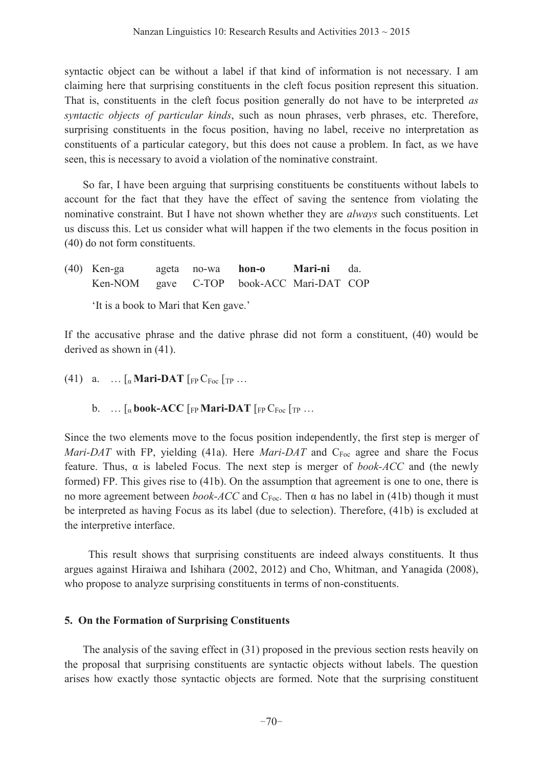syntactic object can be without a label if that kind of information is not necessary. I am claiming here that surprising constituents in the cleft focus position represent this situation. That is, constituents in the cleft focus position generally do not have to be interpreted *as syntactic objects of particular kinds*, such as noun phrases, verb phrases, etc. Therefore, surprising constituents in the focus position, having no label, receive no interpretation as constituents of a particular category, but this does not cause a problem. In fact, as we have seen, this is necessary to avoid a violation of the nominative constraint.

 So far, I have been arguing that surprising constituents be constituents without labels to account for the fact that they have the effect of saving the sentence from violating the nominative constraint. But I have not shown whether they are *always* such constituents. Let us discuss this. Let us consider what will happen if the two elements in the focus position in (40) do not form constituents.

| $(40)$ Ken-ga                            | ageta no-wa <b>hon-o</b> | <b>Mari-ni</b> da. |  |
|------------------------------------------|--------------------------|--------------------|--|
| Ken-NOM gave C-TOP book-ACC Mari-DAT COP |                          |                    |  |

'It is a book to Mari that Ken gave.'

If the accusative phrase and the dative phrase did not form a constituent, (40) would be derived as shown in (41).

- (41) a.  $\ldots$  [a **Mari-DAT** [FP C<sub>Foc</sub> [TP  $\ldots$ 
	- b.  $\ldots$  [a **book-ACC** [FP **Mari-DAT** [FP  $C_{\text{Foc}}$  [TP  $\ldots$

Since the two elements move to the focus position independently, the first step is merger of *Mari-DAT* with FP, yielding (41a). Here *Mari-DAT* and C<sub>Foc</sub> agree and share the Focus feature. Thus,  $\alpha$  is labeled Focus. The next step is merger of *book-ACC* and (the newly formed) FP. This gives rise to (41b). On the assumption that agreement is one to one, there is no more agreement between *book-ACC* and  $C_{\text{Foc}}$ . Then  $\alpha$  has no label in (41b) though it must be interpreted as having Focus as its label (due to selection). Therefore, (41b) is excluded at the interpretive interface.

 This result shows that surprising constituents are indeed always constituents. It thus argues against Hiraiwa and Ishihara (2002, 2012) and Cho, Whitman, and Yanagida (2008), who propose to analyze surprising constituents in terms of non-constituents.

## **5. On the Formation of Surprising Constituents**

 The analysis of the saving effect in (31) proposed in the previous section rests heavily on the proposal that surprising constituents are syntactic objects without labels. The question arises how exactly those syntactic objects are formed. Note that the surprising constituent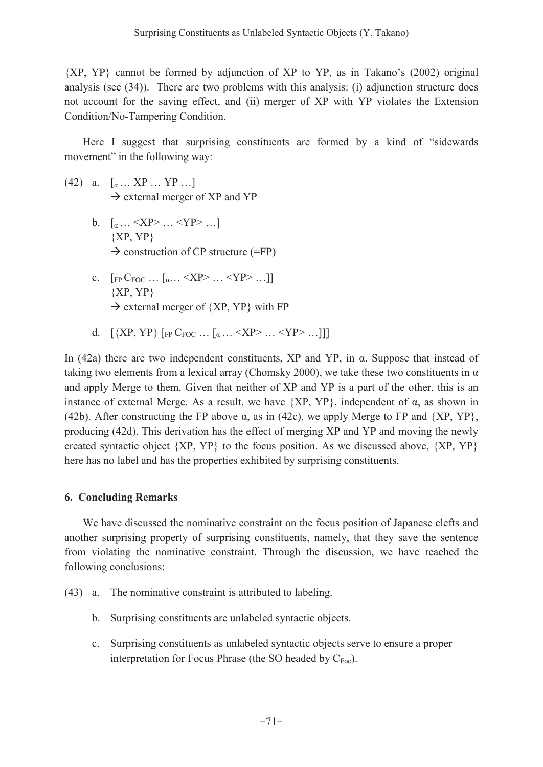${XP, YP}$  cannot be formed by adjunction of XP to YP, as in Takano's (2002) original analysis (see (34)). There are two problems with this analysis: (i) adjunction structure does not account for the saving effect, and (ii) merger of XP with YP violates the Extension Condition/No-Tampering Condition.

Here I suggest that surprising constituents are formed by a kind of "sidewards movement" in the following way:

- (42) a.  $[\alpha \dots XY \dots YP \dots]$  $\rightarrow$  external merger of XP and YP
	- **b.**  $\left[ \alpha \dots \leq XP \right\} \dots \leq YP \geq \dots \right]$  ${XP,YP}$  $\rightarrow$  construction of CP structure (=FP)
	- **c.**  $\left[$ <sub>FP</sub> C<sub>FOC</sub> ...  $\left[$ <sub>a</sub>... <XP> ... <YP> ...]]  ${XP,YP}$  $\rightarrow$  external merger of {XP, YP} with FP
	- d.  $[\{XP,YP\}$   $[FPC_{FOC} \dots [a \dots \langle XP \rangle \dots \langle YP \rangle \dots]]]$

In (42a) there are two independent constituents,  $XP$  and  $YP$ , in  $\alpha$ . Suppose that instead of taking two elements from a lexical array (Chomsky 2000), we take these two constituents in  $\alpha$ and apply Merge to them. Given that neither of XP and YP is a part of the other, this is an instance of external Merge. As a result, we have  ${XP,YP}$ , independent of  $\alpha$ , as shown in (42b). After constructing the FP above  $\alpha$ , as in (42c), we apply Merge to FP and {XP, YP}, producing (42d). This derivation has the effect of merging XP and YP and moving the newly created syntactic object  ${XP, YP}$  to the focus position. As we discussed above,  ${XP, YP}$ here has no label and has the properties exhibited by surprising constituents.

#### **6. Concluding Remarks**

 We have discussed the nominative constraint on the focus position of Japanese clefts and another surprising property of surprising constituents, namely, that they save the sentence from violating the nominative constraint. Through the discussion, we have reached the following conclusions:

- (43) a. The nominative constraint is attributed to labeling.
	- b. Surprising constituents are unlabeled syntactic objects.
	- c. Surprising constituents as unlabeled syntactic objects serve to ensure a proper interpretation for Focus Phrase (the SO headed by  $C_{Foc}$ ).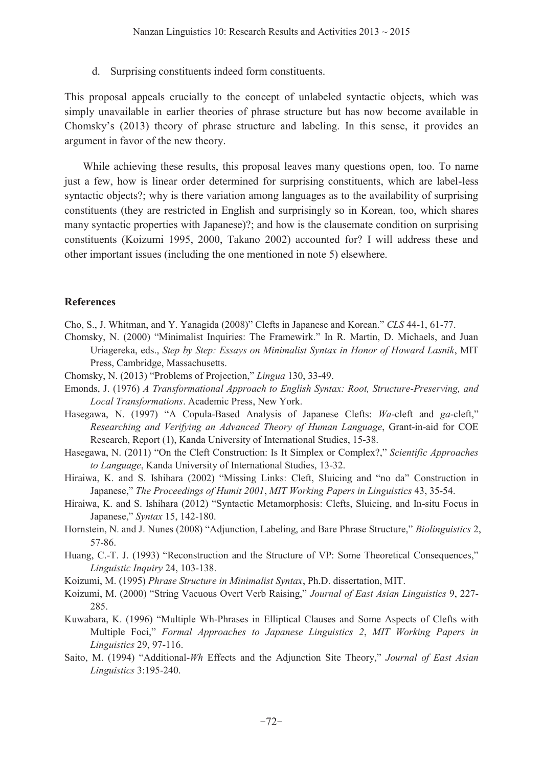d. Surprising constituents indeed form constituents.

This proposal appeals crucially to the concept of unlabeled syntactic objects, which was simply unavailable in earlier theories of phrase structure but has now become available in Chomsky's  $(2013)$  theory of phrase structure and labeling. In this sense, it provides an argument in favor of the new theory.

 While achieving these results, this proposal leaves many questions open, too. To name just a few, how is linear order determined for surprising constituents, which are label-less syntactic objects?; why is there variation among languages as to the availability of surprising constituents (they are restricted in English and surprisingly so in Korean, too, which shares many syntactic properties with Japanese)?; and how is the clausemate condition on surprising constituents (Koizumi 1995, 2000, Takano 2002) accounted for? I will address these and other important issues (including the one mentioned in note 5) elsewhere.

#### **References**

- Cho, S., J. Whitman, and Y. Yanagida (2008)" Clefts in Japanese and Korean." CLS 44-1, 61-77.
- Chomsky, N. (2000) "Minimalist Inquiries: The Framewirk." In R. Martin, D. Michaels, and Juan Uriagereka, eds., *Step by Step: Essays on Minimalist Syntax in Honor of Howard Lasnik*, MIT Press, Cambridge, Massachusetts.
- Chomsky, N. (2013) "Problems of Projection," *Lingua* 130, 33-49.
- Emonds, J. (1976) *A Transformational Approach to English Syntax: Root, Structure-Preserving, and Local Transformations*. Academic Press, New York.
- Hasegawa, N. (1997) "A Copula-Based Analysis of Japanese Clefts: *Wa*-cleft and *ga*-cleft," *Researching and Verifying an Advanced Theory of Human Language*, Grant-in-aid for COE Research, Report (1), Kanda University of International Studies, 15-38.
- Hasegawa, N. (2011) "On the Cleft Construction: Is It Simplex or Complex?," *Scientific Approaches to Language*, Kanda University of International Studies, 13-32.
- Hiraiwa, K. and S. Ishihara (2002) "Missing Links: Cleft, Sluicing and "no da" Construction in Japanese," The Proceedings of Humit 2001, *MIT Working Papers in Linguistics* 43, 35-54.
- Hiraiwa, K. and S. Ishihara (2012) "Syntactic Metamorphosis: Clefts, Sluicing, and In-situ Focus in Japanese," Syntax 15, 142-180.
- Hornstein, N. and J. Nunes (2008) "Adjunction, Labeling, and Bare Phrase Structure," *Biolinguistics* 2, 57-86.
- Huang, C.-T. J. (1993) "Reconstruction and the Structure of VP: Some Theoretical Consequences," *Linguistic Inquiry* 24, 103-138.
- Koizumi, M. (1995) *Phrase Structure in Minimalist Syntax*, Ph.D. dissertation, MIT.
- Koizumi, M. (2000) "String Vacuous Overt Verb Raising," *Journal of East Asian Linguistics* 9, 227-285.
- Kuwabara, K. (1996) "Multiple Wh-Phrases in Elliptical Clauses and Some Aspects of Clefts with Multiple Foci," Formal Approaches to Japanese Linguistics 2, MIT Working Papers in *Linguistics* 29, 97-116.
- Saito, M. (1994) "Additional-*Wh* Effects and the Adjunction Site Theory," *Journal of East Asian Linguistics* 3:195-240.